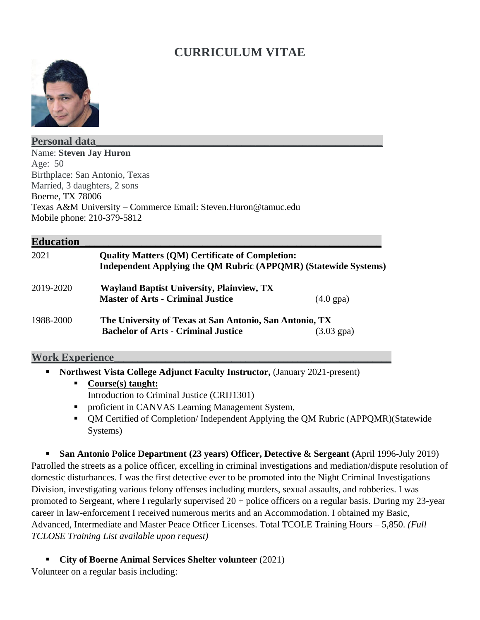# **CURRICULUM VITAE**



#### **Personal data\_\_\_\_\_\_\_\_\_\_\_\_\_\_\_\_\_\_\_\_\_\_\_\_\_\_\_\_\_\_\_\_\_\_\_\_\_\_\_\_\_\_\_\_\_\_\_\_\_\_\_\_\_\_\_\_\_\_\_\_\_**

Name: **Steven Jay Huron** Age: 50 Birthplace: San Antonio, Texas Married, 3 daughters, 2 sons Boerne, TX 78006 Texas A&M University – Commerce Email: Steven.Huron@tamuc.edu Mobile phone: 210-379-5812

### **Education**

| 2021      | <b>Quality Matters (QM) Certificate of Completion:</b><br>Independent Applying the QM Rubric (APPQMR) (Statewide Systems)     |                     |
|-----------|-------------------------------------------------------------------------------------------------------------------------------|---------------------|
| 2019-2020 | <b>Wayland Baptist University, Plainview, TX</b><br><b>Master of Arts - Criminal Justice</b>                                  | $(4.0 \text{ gpa})$ |
| 1988-2000 | The University of Texas at San Antonio, San Antonio, TX<br><b>Bachelor of Arts - Criminal Justice</b><br>$(3.03 \text{ gpa})$ |                     |

### **Work Experience\_\_\_\_\_\_\_\_\_\_\_\_\_\_\_\_\_\_\_\_\_\_\_\_\_\_\_\_\_\_\_\_\_\_\_\_\_\_\_\_\_\_\_\_\_\_\_\_\_\_\_\_\_\_\_\_\_\_\_**

- **Northwest Vista College Adjunct Faculty Instructor,** (January 2021-present)
	- **Course(s) taught:** Introduction to Criminal Justice (CRIJ1301)
	- proficient in CANVAS Learning Management System,
	- QM Certified of Completion/ Independent Applying the QM Rubric (APPQMR)(Statewide Systems)

▪ **San Antonio Police Department (23 years) Officer, Detective & Sergeant (**April 1996-July 2019) Patrolled the streets as a police officer, excelling in criminal investigations and mediation/dispute resolution of domestic disturbances. I was the first detective ever to be promoted into the Night Criminal Investigations Division, investigating various felony offenses including murders, sexual assaults, and robberies. I was promoted to Sergeant, where I regularly supervised 20 + police officers on a regular basis. During my 23-year career in law-enforcement I received numerous merits and an Accommodation. I obtained my Basic, Advanced, Intermediate and Master Peace Officer Licenses. Total TCOLE Training Hours – 5,850. *(Full TCLOSE Training List available upon request)*

▪ **City of Boerne Animal Services Shelter volunteer** (2021)

Volunteer on a regular basis including: